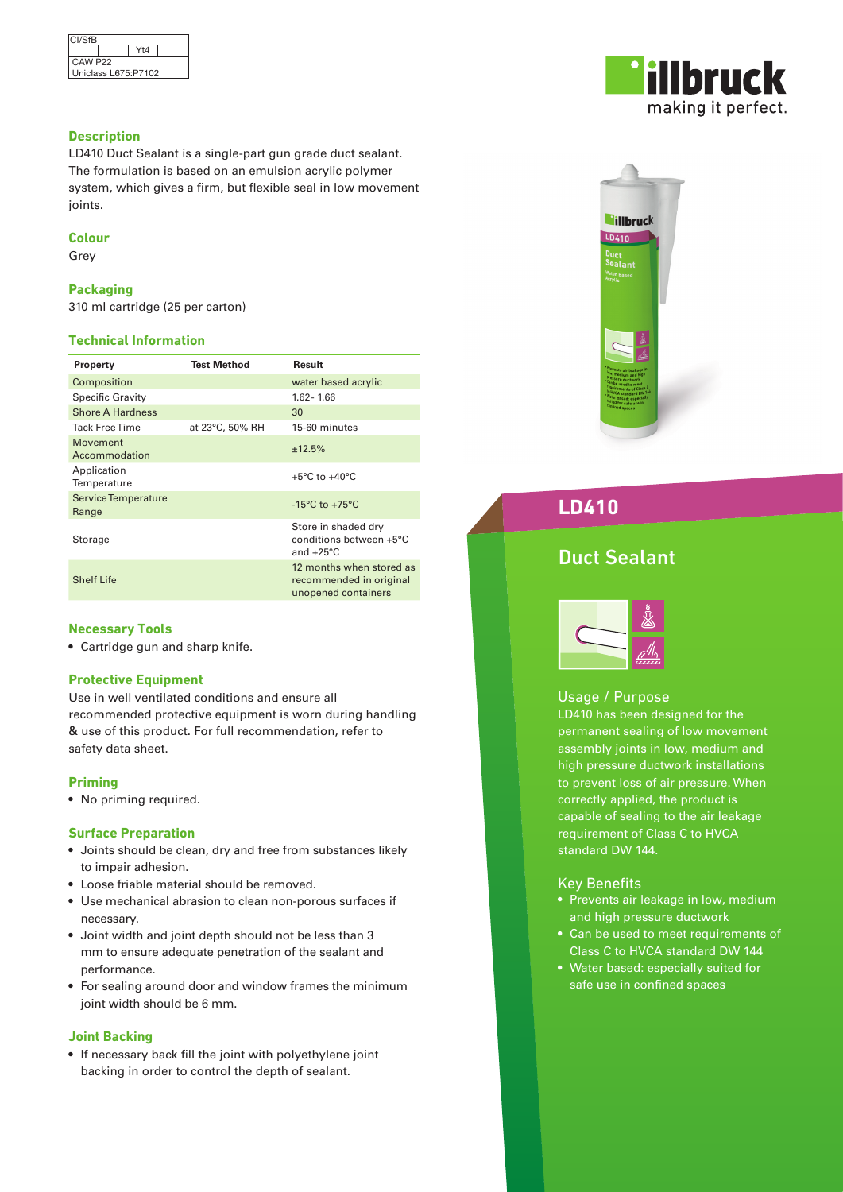| <b>CI/SfB</b>       |     |  |
|---------------------|-----|--|
|                     | Yt4 |  |
| CAW P <sub>22</sub> |     |  |
| Uniclass L675:P7102 |     |  |

## **Description**

LD410 Duct Sealant is a single-part gun grade duct sealant. The formulation is based on an emulsion acrylic polymer system, which gives a firm, but flexible seal in low movement joints.

## **Colour**

Grey

## **Packaging**

310 ml cartridge (25 per carton)

## **Technical Information**

| Property                     | <b>Test Method</b> | Result                                                                     |
|------------------------------|--------------------|----------------------------------------------------------------------------|
| Composition                  |                    | water based acrylic                                                        |
| <b>Specific Gravity</b>      |                    | $1.62 - 1.66$                                                              |
| <b>Shore A Hardness</b>      |                    | 30                                                                         |
| <b>Tack Free Time</b>        | at 23°C, 50% RH    | 15-60 minutes                                                              |
| Movement<br>Accommodation    |                    | ±12.5%                                                                     |
| Application<br>Temperature   |                    | $+5^{\circ}$ C to $+40^{\circ}$ C                                          |
| Service Temperature<br>Range |                    | $-15^{\circ}$ C to $+75^{\circ}$ C                                         |
| Storage                      |                    | Store in shaded dry<br>conditions between +5°C<br>and $+25^{\circ}$ C      |
| <b>Shelf Life</b>            |                    | 12 months when stored as<br>recommended in original<br>unopened containers |

## **Necessary Tools**

• Cartridge gun and sharp knife.

## **Protective Equipment**

Use in well ventilated conditions and ensure all recommended protective equipment is worn during handling & use of this product. For full recommendation, refer to safety data sheet.

## **Priming**

• No priming required.

## **Surface Preparation**

- Joints should be clean, dry and free from substances likely to impair adhesion.
- Loose friable material should be removed.
- Use mechanical abrasion to clean non-porous surfaces if necessary.
- Joint width and joint depth should not be less than 3 mm to ensure adequate penetration of the sealant and performance.
- For sealing around door and window frames the minimum joint width should be 6 mm.

## **Joint Backing**

• If necessary back fill the joint with polyethylene joint backing in order to control the depth of sealant.





# **LD410**

# Duct Sealant



## Usage / Purpose

LD410 has been designed for the permanent sealing of low movement assembly joints in low, medium and high pressure ductwork installations to prevent loss of air pressure. When correctly applied, the product is capable of sealing to the air leakage requirement of Class C to HVCA standard DW 144.

## Key Benefits

- Prevents air leakage in low, medium and high pressure ductwork
- Can be used to meet requirements of Class C to HVCA standard DW 144
- Water based: especially suited for safe use in confined spaces